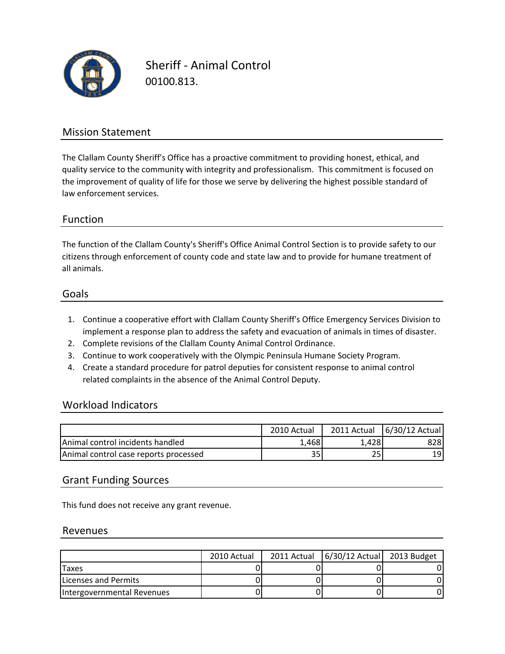

Sheriff ‐ Animal Control 00100.813.

### Mission Statement

The Clallam County Sheriff's Office has a proactive commitment to providing honest, ethical, and quality service to the community with integrity and professionalism. This commitment is focused on the improvement of quality of life for those we serve by delivering the highest possible standard of law enforcement services.

#### Function

all animals. citizens through enforcement of county code and state law and to provide for humane treatment of The function of the Clallam County's Sheriff's Office Animal Control Section is to provide safety to our

#### Goals

- 1. Continue a cooperative effort with Clallam County Sheriff's Office Emergency Services Division to implement a response plan to address the safety and evacuation of animals in times of disaster.
- 2. Complete revisions of the Clallam County Animal Control Ordinance.
- 3. Continue to work cooperatively with the Olympic Peninsula Humane Society Program.
- 4. Create a standard procedure for patrol deputies for consistent response to animal control related complaints in the absence of the Animal Control Deputy.

#### Workload Indicators

|                                          | 2010 Actual | 2011 Actual | 6/30/12 Actual |
|------------------------------------------|-------------|-------------|----------------|
| <b>IAnimal control incidents handled</b> | 1.468       | 1.428       | 8281           |
| Animal control case reports processed    | 35          | 25          | 19             |

#### Grant Funding Sources

This fund does not receive any grant revenue.

#### Revenues

|                            | 2010 Actual | 2011 Actual | $6/30/12$ Actual 2013 Budget |  |
|----------------------------|-------------|-------------|------------------------------|--|
| Taxes                      |             |             |                              |  |
| Licenses and Permits       |             |             |                              |  |
| Intergovernmental Revenues |             |             |                              |  |